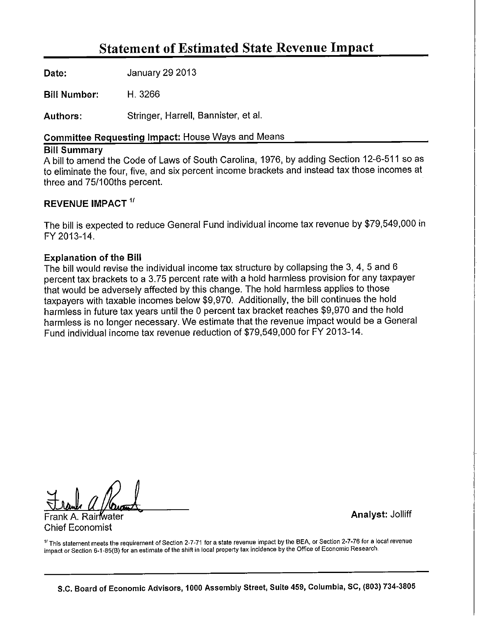# **Statement of Estimated State Revenue Impact**

Date: January 29 2013

**Bill Number:** H. 3266

Stringer, Harrell, Bannister, et al. Authors:

## Committee Requesting Impact: House Ways and Means

## **Bill Summary**

A bill to amend the Code of Laws of South Carolina, 1976, by adding Section 12-6-511 so as to eliminate the four, five, and six percent income brackets and instead tax those incomes at three and 75/100ths percent.

## **REVENUE IMPACT 1/**

The bill is expected to reduce General Fund individual income tax revenue by \$79,549,000 in FY 2013-14.

## **Explanation of the Bill**

The bill would revise the individual income tax structure by collapsing the 3, 4, 5 and 6 percent tax brackets to a 3.75 percent rate with a hold harmless provision for any taxpayer that would be adversely affected by this change. The hold harmless applies to those taxpayers with taxable incomes below \$9,970. Additionally, the bill continues the hold harmless in future tax years until the 0 percent tax bracket reaches \$9,970 and the hold harmless is no longer necessary. We estimate that the revenue impact would be a General Fund individual income tax revenue reduction of \$79,549,000 for FY 2013-14.

**Chief Economist** 

**Analyst: Jolliff** 

<sup>1</sup> This statement meets the requirement of Section 2-7-71 for a state revenue impact by the BEA, or Section 2-7-76 for a local revenue impact or Section 6-1-85(B) for an estimate of the shift in local property tax incidence by the Office of Economic Research.